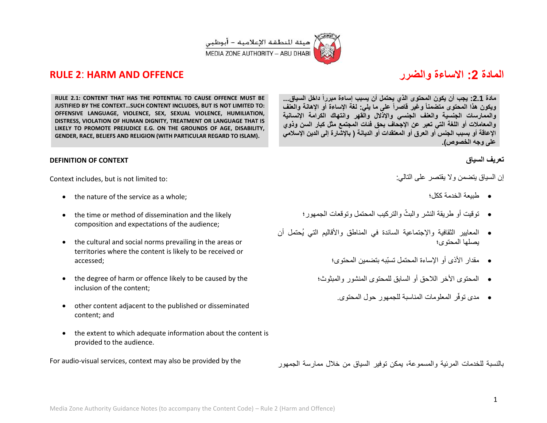

# **RULE 2**: **HARM AND OFFENCE والضرر االساءة :2 المادة**

**مادة :2.1 ٌجب أن ٌكون المحتوى الذي ٌحتمل أن ٌسبب إساءة مبرراً داخل السٌاق... وٌكون هذا المحتوى متضمناً وغٌر قاصراً على ما ٌل:ً لغة اإلساءة أو اإلهانة والعنف والممارسات الجنسٌة والعنف الجنسً واإلذالل والقهر وانتهاك الكرامة اإلنسانٌة والمعامالت أو اللغة التً تعبر عن اإلجحاف بحق فئات المجتمع مثل كبار السن وذوي**  الإعاقة أو بسبب الجنس أو العرق أو المعتقدات أو الديانة ( بالإشارة إلى الدين الإسلام*ي* **على وجه الخصوص(.**

## **تعرٌف السٌاق**

إن السباق بتضمن والا بقتصر على التالي:

- طبٌعة الخدمة ككل؛
- توقيت أو طريقة النشر والبثّ والتركيب المحتمل وتوقعات الجمهور؛
- المعايير الثقافية والإجتماعية السائدة في المناطق والأقاليم التي يُحتمل أن ٌصلها المحتوى؛
	- مقدار الأذى أو الإساءة المحتمل تسبّبه بتضمين المحتوى؛
	- المحتوى األخر الالحق أو السابق للمحتوى المنشور والمبثوث؛
		- فر المعلومات المناسبة للجمهور حول المحتوى. مدى توّ

بالنسبة للخدمات المرئٌة والمسموعة، ٌمكن توفٌر السٌاق من خالل ممارسة الجمهور

**RULE 2.1: CONTENT THAT HAS THE POTENTIAL TO CAUSE OFFENCE MUST BE JUSTIFIED BY THE CONTEXT…SUCH CONTENT INCLUDES, BUT IS NOT LIMITED TO: OFFENSIVE LANGUAGE, VIOLENCE, SEX, SEXUAL VIOLENCE, HUMILIATION, DISTRESS, VIOLATION OF HUMAN DIGNITY, TREATMENT OR LANGUAGE THAT IS LIKELY TO PROMOTE PREJUDICE E.G. ON THE GROUNDS OF AGE, DISABILITY, GENDER, RACE, BELIEFS AND RELIGION (WITH PARTICULAR REGARD TO ISLAM).** 

## **DEFINITION OF CONTEXT**

Context includes, but is not limited to:

- the nature of the service as a whole;
- the time or method of dissemination and the likely composition and expectations of the audience;
- the cultural and social norms prevailing in the areas or territories where the content is likely to be received or accessed;
- the degree of harm or offence likely to be caused by the inclusion of the content;
- other content adjacent to the published or disseminated content; and
- the extent to which adequate information about the content is provided to the audience.

For audio-visual services, context may also be provided by the



1



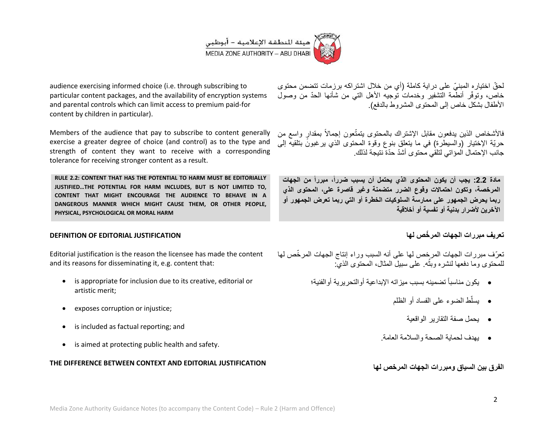

audience exercising informed choice (i.e. through subscribing to particular content packages, and the availability of encryption systems and parental controls which can limit access to premium paid-for content by children in particular).

Members of the audience that pay to subscribe to content generally exercise a greater degree of choice (and control) as to the type and strength of content they want to receive with a corresponding tolerance for receiving stronger content as a result.

**RULE 2.2: CONTENT THAT HAS THE POTENTIAL TO HARM MUST BE EDITORIALLY JUSTIFIED…THE POTENTIAL FOR HARM INCLUDES, BUT IS NOT LIMITED TO, CONTENT THAT MIGHT ENCOURAGE THE AUDIENCE TO BEHAVE IN A DANGEROUS MANNER WHICH MIGHT CAUSE THEM, OR OTHER PEOPLE, PHYSICAL, PSYCHOLOGICAL OR MORAL HARM**

## **DEFINITION OF EDITORIAL JUSTIFICATION**

Editorial justification is the reason the licensee has made the content and its reasons for disseminating it, e.g. content that:

- is appropriate for inclusion due to its creative, editorial or artistic merit;
- exposes corruption or injustice;
- is included as factual reporting; and
- is aimed at protecting public health and safety.

## **THE DIFFERENCE BETWEEN CONTEXT AND EDITORIAL JUSTIFICATION**

لحقّ اختياره المبنيّ على دراية كاملة (أي من خلال اشتراكه برزمات تتضمن محتوى خاص، وتوفّر أنطّمة التشفير وخدمات توجيه الأهل التي من شأنها الحدّ من وصول الأطفال بشكل خاص إلى المحتوى المشر وط بالدفع).

فالأشخاص الذين يدفعون مقابل الإشتراك بالمحتوى بتمتّعون إجمالاً بمقدارٍ واسع من حريّة الإختيار (والسيطرة) في ما يتعلق بنوع وقوة المحتوى الذي يرغبونَ بتلقيه إلى جانب الإحتمال المؤاتي لتلقى محتوى أشدّ حدّة نتيجة لذلك.

**مادة :2.2 ٌجب أن ٌكون المحتوى الذي ٌحتمل أن ٌسبب ضررا،ً مبرراً من الجهات المرخصة، وتكون احتماالت وقوع الضرر متضمنة وغٌر قاصرة على، المحتوى الذي ربما ٌحرض الجمهور على ممارسة السلوكٌات الخطرة أو التً ربما تعرض الجمهور أو**  الآخر بن لأضر ار بدنية أو نفسية أو أخلاقية

## **تعرٌف مبررات الجهات المر ّخص لها**

تعرّف مبررات الجهات المرخص لها على أنه السبب وراء إنتاج الجهات المرخّص لها للمحتوى وما دفعها لنشره وبثه ً على سبيل المثال، المحتوى الذي: **:بال** 

- يكون مناسباً تضمينه بسبب ميزاته الإبداعية أوالتحريرية أوالفنية؛
	- ّط الضوء على الفساد أو الظلم ٌسل
		- ٌحمل صفة التقارٌر الواقعٌة
	- ٌهدف لحماٌة الصحة والسالمة العامة.

الفرق بين السياق ومبررات الجهات المرخص لها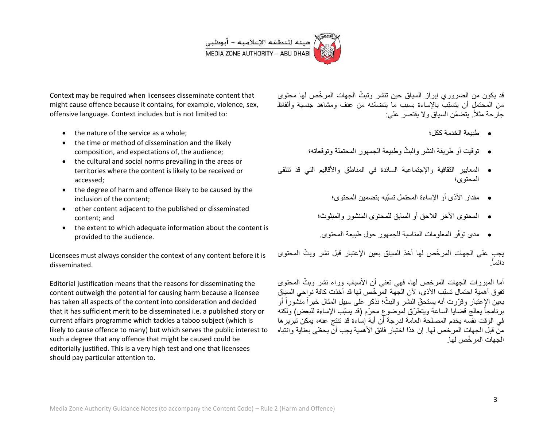

Context may be required when licensees disseminate content that might cause offence because it contains, for example, violence, sex, offensive language. Context includes but is not limited to:

- the nature of the service as a whole;
- the time or method of dissemination and the likely composition, and expectations of, the audience;
- the cultural and social norms prevailing in the areas or territories where the content is likely to be received or accessed;
- the degree of harm and offence likely to be caused by the inclusion of the content;
- other content adjacent to the published or disseminated content; and
- the extent to which adequate information about the content is provided to the audience.

Licensees must always consider the context of any content before it is disseminated.

Editorial justification means that the reasons for disseminating the content outweigh the potential for causing harm because a licensee has taken all aspects of the content into consideration and decided that it has sufficient merit to be disseminated i.e. a published story or current affairs programme which tackles a taboo subject (which is likely to cause offence to many) but which serves the public interest to such a degree that any offence that might be caused could be editorially justified. This is a very high test and one that licensees should pay particular attention to.

قد يكون من الضروري إبراز السياق حين تنشر وتبثّ الجهات المرخّص لمها محتوى من المحتمل أن يتسبّب بالإساءة بسبب ما يتضمّنه من عنف ومشاهد جنسية وألفاظ جارحة مثلاً. يتضمّن السياق ولا يقتصر على:

- طبٌعة الخدمة ككل؛
- توقيت أو طريقة النشر والبثّ وطبيعة الجمهور المحتملة وتوقعاته؛
- المعايير الثقافية والإجتماعية السائدة في المناطق والأقاليم التي قد تتلقى المحتوى؛
	- مقدار األذى أو اإلساءة المحتمل تسبّبه بتضمٌن المحتوى؛
	- المحتوى األخر الالحق أو السابق للمحتوى المنشور والمبثوث؛
	- مدى توفّر المعلومات المناسبة للجمهور حول طبيعة المحتوى.

يجب على الجهات المرخّص لها أخذ السياق بعين الإعتبار قبل نشر وبثّ المحتوى . دائماً

أما المبررات الجهات المرخص لمها، فهى تعنى أن الأسباب وراء نشر وبثّ المحتوى تفوق أهميّة احتمال تسبّب الأذى، لأن الجّهة المرّخّص لها قد أخذت كافة نواحى السياق بعين الإعتبار وقرّرت أنه يستحقّ النشر والبثّ؛ نذكر على سبيل المثال خبراً منشوراً أو برنامجاً يعالج قضايا الساعة ويتطرّق لموضوع محرّم (قد يسبّب الإساءة للبعض) ولكنه في الوقت نفسه بخدم المصلحة العامة لدرجة أن أبة إساءة قد تنتج عنه، بمكن تبر بر ها من قبل الجهات المر خص لها. إن هذا اختبار ٍ فائق الأهمية بجب أن بحظى بعناية وانتباه الجهات المر ّخص لها.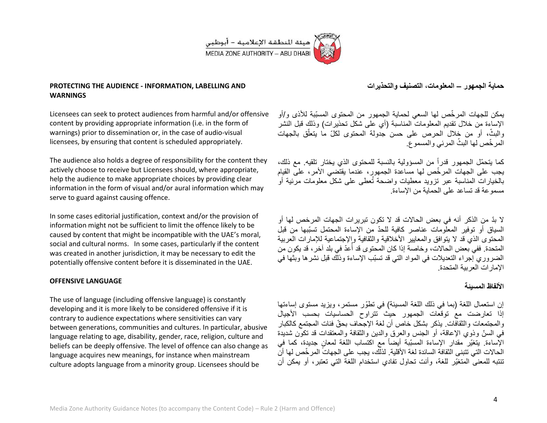

## **PROTECTING THE AUDIENCE - INFORMATION, LABELLING AND WARNINGS**

Licensees can seek to protect audiences from harmful and/or offensive content by providing appropriate information (i.e. in the form of warnings) prior to dissemination or, in the case of audio-visual licensees, by ensuring that content is scheduled appropriately.

The audience also holds a degree of responsibility for the content they actively choose to receive but Licensees should, where appropriate, help the audience to make appropriate choices by providing clear information in the form of visual and/or aural information which may serve to guard against causing offence.

In some cases editorial justification, context and/or the provision of information might not be sufficient to limit the offence likely to be caused by content that might be incompatible with the UAE's moral, social and cultural norms. In some cases, particularly if the content was created in another jurisdiction, it may be necessary to edit the potentially offensive content before it is disseminated in the UAE.

## **OFFENSIVE LANGUAGE**

The use of language (including offensive language) is constantly developing and it is more likely to be considered offensive if it is contrary to audience expectations where sensitivities can vary between generations, communities and cultures. In particular, abusive language relating to age, disability, gender, race, religion, culture and beliefs can be deeply offensive. The level of offence can also change as language acquires new meanings, for instance when mainstream culture adopts language from a minority group. Licensees should be

بمكن للجهات المر خّص لها السعى لحماية الجمهور من المحتوى المسبّبة للأذى و/أو الإساءة من خلال تقديم المعلومات المناسبة (أي على شكل تحذير ات) وذلك قبل النشر والبثّ، أو من خلال الحرص على حسن جدولة المحتوى لكلّ ما يتعلّق بالجهات

كما يتحمّل الجمهور قدراً من المسؤولية بالنسبة للمحتوى الذي يختار تلقيه. مع ذلك، يجب على الجهات المرخِّص لها مساعدة الجمهور، عندما يقتضي الأمر، على القيام بالخيار ات المناسبة عبر تزويد معطيات واضحة تُعطى على شكل معلومات مرئية أو مسموعة قد تساعد على الحماية من الإساءة

ال بّد من الذكر أنه فً بعض الحاالت قد ال تكون تبرٌرات الجهات المرخص لها أو السياق أو توفير المعلّومات عناصر كافية للحدّ من الإساءة المحتمل تسبّبها من قبل المحتوى الذي قد لا يتوافق والمعايير الأخلاقية والثقافية والإجتماعية للإمارات العربية المتحدة. ففي بعض الحالات، وخاصة إذا كان المحتوى قد أعدّ في بلد آخر ، قد يكون من ُ الضروري إجراء التعديلات في المواد التي قد تسبّب الإساءة وذلك قبل نشرها وبثها في اإلمارات العربٌة المتحدة.

## الأ**لفاظ المسىئ**ة

إن استعمال اللغة (بما في ذلك اللغة المسيئة) في تطوّر مستمر، ويزيد مستوى إساءتها إذا تعارضت مع توقعات الجمهور حيث تتراوح الحساسيات بحسب الأجيال والمجتمعات والثقافات. يذكر بشكل خاص أن لغة الإجحاف بحقّ فئات المجتمع كالكبار في السنّ وذوي الإعاقة، أو الجنس والعرق والدين والثقافة والمعتقدات قد تكوّن شديدة الإساءة. يتغيّر مقدار الإساءة المسبّبة أيضاً مع اكتساب اللغة لمعانٍ جديدة، كما في الحالات التي تتبنى الثقافة السائدة لغة الأقلية. لذلك، يجب على الجهاتَ المر خّص لها أنّ تنتبه للمعنى المتغيّر للغة، وأنت تحاول تفادي استخدام اللغة التي تعتبر، أو يمكن أن

**حماٌة الجمهور – المعلومات، التصنٌف والتحذٌرات**

المرخّص لها البثّ المرئي والمسموع.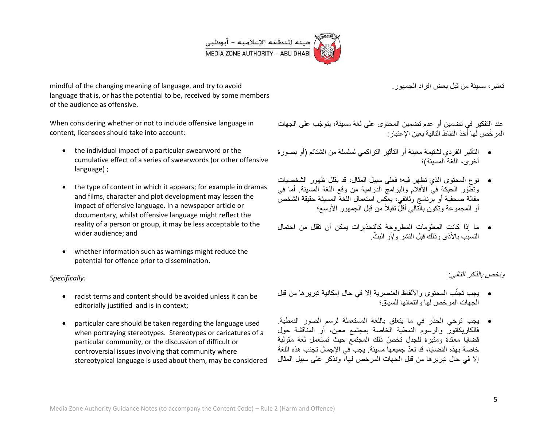

mindful of the changing meaning of language, and try to avoid language that is, or has the potential to be, received by some members of the audience as offensive.

When considering whether or not to include offensive language in content, licensees should take into account:

- the individual impact of a particular swearword or the cumulative effect of a series of swearwords (or other offensive language) ;
- the type of content in which it appears; for example in dramas and films, character and plot development may lessen the impact of offensive language. In a newspaper article or documentary, whilst offensive language might reflect the reality of a person or group, it may be less acceptable to the wider audience; and
- whether information such as warnings might reduce the potential for offence prior to dissemination.

*Specifically:*

- racist terms and content should be avoided unless it can be editorially justified and is in context;
- particular care should be taken regarding the language used when portraying stereotypes. Stereotypes or caricatures of a particular community, or the discussion of difficult or controversial issues involving that community where stereotypical language is used about them, may be considered

تعتبر ، مسبئة من قبل بعض افر اد الجمهور .

عند التفكير في تضمين أو عدم تضمين المحتوى على لغة مسيئة، يتوجّب على الجهات المر خّص لها أخذ النقاط التالية بعين الإعتبار :

- التأثٌر الفردي لشتٌمة معٌنة أو التأثٌر التراكمً لسلسلة من الشتائم )أو بصورة أخرى، اللغة المسبئة)؛
- نوع المحتوى الذي تظهر فٌه؛ فعلى سبٌل المثال، قد ٌقلل ظهور الشخصٌات وتطوّر الحبكة في الأفلام والبرامج الدرامية من وقع اللغة المسيئة. أما في مقالة صحفية أو برنامج وثائقي، يعكس استعمال اللغة المسيئة حقيقة الشخص أو المجموعة وتكون بالتالي أقلّ تقبلاً من قبل الجمهور الأوسع؛
- ما إذا كانت المعلومات المطروحة كالتحذٌرات ٌمكن أن تقلل من احتمال التسبب بالأذى وذلك قبل النشر و/أو البثّ

ونخص بالذكر التال:ً

- يجب تجنَّب المحتوى والألفاظ العنصرية إلا في حال إمكانية تبريرها من قبل الجهات المرخص لها وانتمائها للسباق؛
- يجب توخَّى الحذر في ما يتعلَّق باللغة المستعملة لرسم الصور النمطية. فالكاريكاتور والرسوم النمطية الخاصة بمجتمع معين، أو المناقشة حول قضايا معقدة ومثيرة للجدل تخصّ ذلك المجتمع حيث تستعمل لغة مقولبة خاصة بهذه القضايا، قد تعدّ جميعها مسيئة. يجب في الإجمال تجنب هذه اللغة إلا في حال تبر بر ها من قبل الجهات المر خص لها، ونذكر على سبيل المثال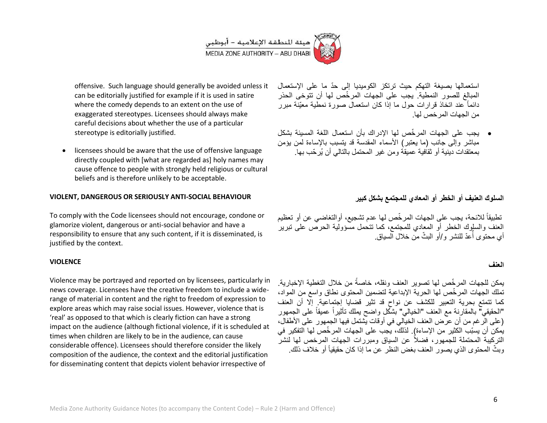

offensive. Such language should generally be avoided unless it can be editorially justified for example if it is used in satire where the comedy depends to an extent on the use of exaggerated stereotypes. Licensees should always make careful decisions about whether the use of a particular stereotype is editorially justified.

 licensees should be aware that the use of offensive language directly coupled with [what are regarded as] holy names may cause offence to people with strongly held religious or cultural beliefs and is therefore unlikely to be acceptable.

#### **VIOLENT, DANGEROUS OR SERIOUSLY ANTI-SOCIAL BEHAVIOUR**

To comply with the Code licensees should not encourage, condone or glamorize violent, dangerous or anti-social behavior and have a responsibility to ensure that any such content, if it is disseminated, is justified by the context.

#### **VIOLENCE**

Violence may be portrayed and reported on by licensees, particularly in news coverage. Licensees have the creative freedom to include a widerange of material in content and the right to freedom of expression to explore areas which may raise social issues. However, violence that is 'real' as opposed to that which is clearly fiction can have a strong impact on the audience (although fictional violence, if it is scheduled at times when children are likely to be in the audience, can cause considerable offence). Licensees should therefore consider the likely composition of the audience, the context and the editorial justification for disseminating content that depicts violent behavior irrespective of

استعمالها بصيغة التهكم حيث ترتكز الكوميديا إلى حدّ ما على الإستعمال المبالغ للصور النمطية. يجب على الجهات المرخّص لها أن تتوخى الحذر دائماً عند اتخاذ قرار ات حول ما إذا كان استعمال صورة نمطية معيّنة مبر ر من الجهات المرخص لها.

 ٌجب على الجهات المر ّخص لها اإلدراك بأن استعمال اللغة المسٌئة بشكل مباشر وإلى جانب (ما يعتبر) الأسماء المقدسة قد يتسبب بالإساءة لمن يؤمن بمعتقدات دينية أو ثقافية عميقة ومن غير المحتمل بالتالي أن يُر حّب بها.

**السلوك العنٌف أو الخطر أو المعادي للمجتمع بشكل كبٌر**

تطبيقاً للائحة، يجب على الجهات المرخّص لها عدم تشجيع، أوالتغاضي عن أو تعظيم العنف والسلوك الخطر أو المعادي للمجتمع، كما تتحمل مسؤولية الحرص على تبرير أي محتوى أُعّدّ للنشر و/أوّ البثّ منّ خلال السياق.

#### **العنف**

يمكن للجهات المرخّص لها تصوير العنف ونقله، خاصةً من خلال التغطية الإخبارية. تملك الجهات المر خّص لها الحرية الإبداعية لتضمين المحتوى نطاق واسع من المواد، كما تتمتع بحرية التعبير للكشف عن نواح قد تثير قضايا إجتماعية. إلا أن العنف ٍ "الحقيقي" بالمقارنة مع العنف "الخيالي" بشكّل واضح يملك تأثيراً عميقاً على الجمهور (على الرغم من أن عرض العنف الخيالي في أوقات يشتمل فيها الجمهور على الأطفال، يمكن أن يسبّب الكثير من الإساءة). لذلك، يجب على الجهات المرخّص لها التفكير في التركيبة المحتملة للجمهور، فضلاً عن السياق ومبررات الجهات المرخص لها لنشر وبثّ المحتوى الذي يصور العنف بغض النظر عن ما إذا كان حقيقياً أو خلاف ذلك.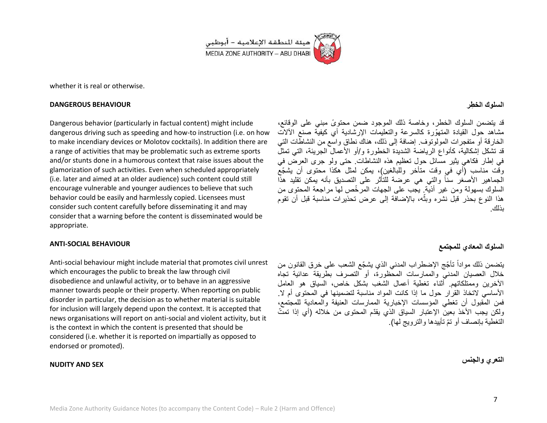

whether it is real or otherwise.

#### **DANGEROUS BEHAVIOUR**

Dangerous behavior (particularly in factual content) might include dangerous driving such as speeding and how-to instruction (i.e. on how to make incendiary devices or Molotov cocktails). In addition there are a range of activities that may be problematic such as extreme sports and/or stunts done in a humorous context that raise issues about the glamorization of such activities. Even when scheduled appropriately (i.e. later and aimed at an older audience) such content could still encourage vulnerable and younger audiences to believe that such behavior could be easily and harmlessly copied. Licensees must consider such content carefully before disseminating it and may consider that a warning before the content is disseminated would be appropriate.

#### **ANTI-SOCIAL BEHAVIOUR**

Anti-social behaviour might include material that promotes civil unrest which encourages the public to break the law through civil disobedience and unlawful activity, or to behave in an aggressive manner towards people or their property. When reporting on public disorder in particular, the decision as to whether material is suitable for inclusion will largely depend upon the context. It is accepted that news organisations will report on anti-social and violent activity, but it is the context in which the content is presented that should be considered (i.e. whether it is reported on impartially as opposed to endorsed or promoted).

#### **NUDITY AND SEX**

## **السلوك الخطِ ر**

قد يتضمن السلوك الخطر، وخاصة ذلك الموجود ضمن محتوىً مبنى على الوقائع، مشاهد حول القيادة المتهوّرة كالسرعة والتعليمات الإرشادية أي كيفية صنع الألات الخارقة أو متفجرات المولوتوف. إضافة إلى ذلك، هناك نطاق واسع من النشاطات التً قد تشكل إشكالية، كأنواع الرياضة الشديدة الخطورة و/أو الأعمال الجريئة، التي تمثلُ في إطار فكاهي بِثْير مسائل حول تعظيم هذه النشاطات. حتى ولو جرى العرض في وقّت مناسب (أي في وقت متأخر وللبالغين)، يمكن لمثل هكذا محتوى أن يشجّع الجماهير الأصغر سناً والتي هي عرضة للتأثر على التصديق بأنه يمكن تقليد هذا السلوك بسهولة ومن غير أذيَّة. يجب على الجهات المرخِّص لها مراجعة المحتوى من هذا النوع بحذر قبل نشره وبثه، بالإضافة إلى عرض تحذيرات مناسبة قبل أن تقوم **:بال** بذلك.

## **السلوك المعادي للمجتمع**

يتضمن ذلك مواداً تأجّج الإضطراب المدنى الذي يشجّع الشعب على خرق القانون من خلال العصبان المدني والممارسات المحظورة، أو التصرف بطربقة عدائبة تجاه الآخرين وممتلكاتهم. أثناء تغطية أعمال الشغب بشكل خاص، السياق هو العامل الأساسي لاتخاذ القرار حول ما إذا كانت المواد مناسبة لتضمينها في المحتوى أم لا. فمن المقبول أن تغطى المؤسسات الإخبارية الممارسات العنيفة والمعادية للمجتمع، ولكن يجب الأخذ بعين الإعتبار السياق الذي يقدّم المحتوى من خلاله (أي إذا تمتّ التغطية بإنصاف أو تمّ تأييدها والترويج لها).

**التعري والجنس**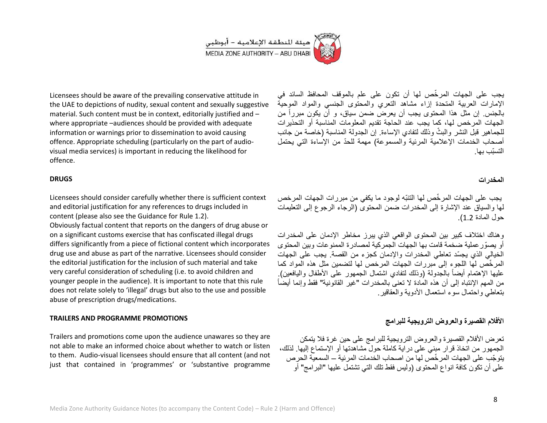

Licensees should be aware of the prevailing conservative attitude in the UAE to depictions of nudity, sexual content and sexually suggestive material. Such content must be in context, editorially justified and – where appropriate –audiences should be provided with adequate information or warnings prior to dissemination to avoid causing offence. Appropriate scheduling (particularly on the part of audiovisual media services) is important in reducing the likelihood for offence.

#### **DRUGS**

Licensees should consider carefully whether there is sufficient context and editorial justification for any references to drugs included in content (please also see the Guidance for Rule 1.2).

Obviously factual content that reports on the dangers of drug abuse or on a significant customs exercise that has confiscated illegal drugs differs significantly from a piece of fictional content which incorporates drug use and abuse as part of the narrative. Licensees should consider the editorial justification for the inclusion of such material and take very careful consideration of scheduling (i.e. to avoid children and younger people in the audience). It is important to note that this rule does not relate solely to 'illegal' drugs but also to the use and possible abuse of prescription drugs/medications.

#### **TRAILERS AND PROGRAMME PROMOTIONS**

Trailers and promotions come upon the audience unawares so they are not able to make an informed choice about whether to watch or listen to them. Audio-visual licensees should ensure that all content (and not just that contained in 'programmes' or 'substantive programme

ٌجب على الجهات المر ّخص لها أن تكون على علم بالموقف المحافظ السائد فً الإمارات العربية المتحدة إزاء مشاهد التعري والمحتوى الجنسي والمواد الموحية بالجنس. إن مثل هذا المحتوى يجب أن يعرض ضمن سياق، و أن يكون مبرراً من الجهات المرخص لها، كما يجب عند الحاجة تقديم المعلومات المناسبة أو التحذيرات للجماهير قبل النشر والبثّ وذلك لتفادي الإساءة. إن الجدولة المناسبة (خاصة من جانب أصحاب الخدمات الإعلامية المرئية والمسموعة) مهمة للحدّ من الإساءة التي يحتمل التستّب بها.

#### **المخدرات**

يجب على الجهات المر خّص لها التنبّه لوجود ما يكفي من مبر رات الجهات المر خص لمها والسياق عند الإشارة إلى المخدرات ضمن المحتوى (الرجاء الرجوع إلى التعليمات حول المادة 2.1(.

وهناك اختلاف كبير بين المحتوى الواقعي الذي يبرز مخاطر الإدمان على المخدرات أو يصوّ ر عملية ضخمة قامت بها الجهات الجمر كية لمصادر ة الممنو عات وبين المحتوى الخيالي الذي يجسّد تعاطى المخدرات والإدمان كجزء من القصة. يجب على الجهات المر خّص لها اللجوء إلى مبررات الجهات المرخص لها لتضمين مثل هذه المواد كما عليها الإهتمام أيضاً بالجدولة (وذلك لتفادي اشتمال الجمهور على الأطفال واليافعين). من المهم الإنتباه إلى أن هذه المادة لا تعني بالمخدر ات "غير القانونية" فقط وإنما أبضاً بتعاطي واحتمال سوء استعمال الأدوية والعقاقير .

## الأفلام القصيرة والعروض الترويجية للبرامج

تعرض الأفلام القصير ة والعروض التروبجية للبرامج على حين غرة فلا بتمكن الجمهور من اتخاذ قرار مبنى على دراية كاملة حول مشاهدتها أو الإستماع إليها. لذلك، بنو جّب على الجهات المر خّصّ لها من اصحاب الخدمات المر ئبة – السمعيّة الحر ص على أن تكون كافة انواع المحتوى (وليس فقط تلك التي تشتمل عليها "البرامج" أو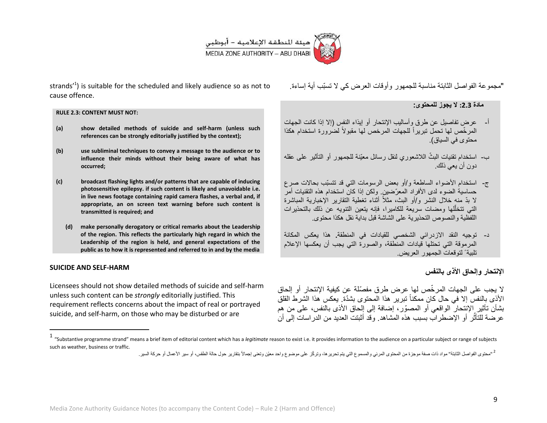

strands<sup> $1$ </sup>) is suitable for the scheduled and likely audience so as not to cause offence.

#### **RULE 2.3: CONTENT MUST NOT:**

- **(a) show detailed methods of suicide and self-harm (unless such references can be strongly editorially justified by the context);**
- **(b) use subliminal techniques to convey a message to the audience or to influence their minds without their being aware of what has occurred;**
- **(c) broadcast flashing lights and/or patterns that are capable of inducing photosensitive epilepsy. if such content is likely and unavoidable i.e. in live news footage containing rapid camera flashes, a verbal and, if appropriate, an on screen text warning before such content is transmitted is required; and**
	- **(d) make personally derogatory or critical remarks about the Leadership of the region. This reflects the particularly high regard in which the Leadership of the region is held, and general expectations of the public as to how it is represented and referred to in and by the media**

#### **SUICIDE AND SELF-HARM**

l

Licensees should not show detailed methods of suicide and self-harm unless such content can be *strongly* editorially justified. This requirement reflects concerns about the impact of real or portrayed suicide, and self-harm, on those who may be disturbed or are

"مجمو عة الفو اصل الثابتة مناسبة للجمهور وأو قات العرض كي لا تسبّب أية إساءة.

## **مادة :3.2 ال ٌجوز للمحتوى:**

- أ- عرض تفاصيل عن طرق وأساليب الإنتحار أو إيذاء النفس (إلا إذا كانت الجهات المرخّص لمها تحمل تبريراً للجهات المرخص لمها مقبولاً لضُرورة استخدام هكذا محتوى في السياق).
- ب- استخدام تقنيات البثّ اللاشعوري لنقل رسائل معيّنة للجمهور أو التأثير على عقله دون أن يعي ذلك.
- ج- استخدام الأضواء الساطعة و/أو بعض الرسومات التي قد تتسبّب بحالات صرع حساسية الضوء لدى الأفراد المعرّضين. ولكن إذا كان استخدام هذه التقنيات أمرّ لا بدّ منه خلال النشر و/أو البث، مثلاً أثناء تغطية النقارير الإخبارية المباشرة التي تتخلُّلها ومضات سريعة للكاميرا، فإنه يتعين التنويه عن ذلك بالتحذيرات اللفظية والنصوص التحذير بة على الشاشة قبل بداية نقل هكذا محتوى.
- د- توجيه النقد الإزدرائ*ي* الشخصي للقيادات في المنطقة. هذا يعكس المكانة المرموقة التي تحتلها قيادات المنطقة، والصورة التي يجب أن يعكسها الإعلام تلبية ً لتوقعات الجمهور العريض.

## **اإلنتحار وإلحاق األذى بالنفس**

لا يجب على الجهات المرخّص لها عرض طرق مفصّلة عن كيفية الإنتحار أو إلحاق الأذى بالنفس إلا في حال كان ممكناً تبرير هذا المحتوى بشدّة. يعكس هذا الشرط القلق بشأن تأثِّير الإنتحار الواقعي أو المصوّر ، إضافة إلى إلحاق الأذى بالنفس، على من هم عرصة للتَأثّر أو الإضطراب بسبب هذه المشاهد. وقد أثبتت العديد من الدراسات إلى أن

<sup>1</sup> "Substantive programme strand" means a brief item of editorial content which has a *legitimate* reason to exist i.e. it provides information to the audience on a particular subject or range of subjects such as weather, business or traffic.

<sup>&</sup>lt;sup>2</sup> "محتوى الفواصل الثابتة" مواد ذات صفة موجزة من المحتوى المرئي والمسموع التي يتم تحريرها، وتركز عول إجماع الثقار وحول حلاة الطقس، أو سير الأعمال أو حركة السير.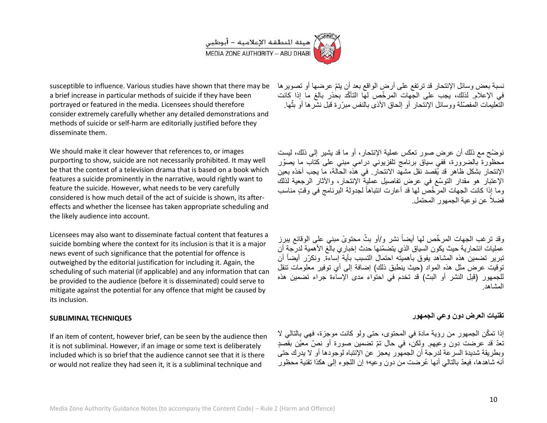

susceptible to influence. Various studies have shown that there may be a brief increase in particular methods of suicide if they have been portrayed or featured in the media. Licensees should therefore consider extremely carefully whether any detailed demonstrations and methods of suicide or self-harm are editorially justified before they disseminate them.

We should make it clear however that references to, or images purporting to show, suicide are not necessarily prohibited. It may well be that the context of a television drama that is based on a book which features a suicide prominently in the narrative, would rightly want to feature the suicide. However, what needs to be very carefully considered is how much detail of the act of suicide is shown, its aftereffects and whether the licensee has taken appropriate scheduling and the likely audience into account.

Licensees may also want to disseminate factual content that features a suicide bombing where the context for its inclusion is that it is a major news event of such significance that the potential for offence is outweighed by the editorial justification for including it. Again, the scheduling of such material (if applicable) and any information that can be provided to the audience (before it is disseminated) could serve to mitigate against the potential for any offence that might be caused by its inclusion.

#### **SUBLIMINAL TECHNIQUES**

If an item of content, however brief, can be seen by the audience then it is not subliminal. However, if an image or some text is deliberately included which is so brief that the audience cannot see that it is there or would not realize they had seen it, it is a subliminal technique and

نسبة بعض وسائل الإنتحار قد ترتفع على أرض الواقع بعد أن يتمّ عرضها أو تصوير ها في الإعلام. لذلك، يجب على الجهات المرخّص لها التأكّد بحذر بالغ ما إذا كانت ֦֧֦֧֦֚֝֝֝**֓**֚ النعليمات المفصّلة ووسائل الإنتحار أو إلحاق الأذى بالنفس مبرّرة قبل نشرها أو بثها

نوضّح مع ذلك أن عرض صور تعكس عملية الإنتحار، أو ما قد يشير إلى ذلك، ليست محظوّرة بالضرورة، ففي سياق برنامج تلفزيوني درامي مبني على كتاب ما يصوّر الإنتحار بشكل ظاهر قد يُقصد نقل مشهد الانتحار. في هذه الحالة، ما يجب أخذه بعين الإعتبار هو مقدار التوسّع في عرض تفاصيل عملية الإنتحار، والأثار الرجعية لذلك وما إذا كانت الجهات المرّخّصّ لها قد أعارت انتباهاً لجدولة البرنامج في وقتٍ مناسب فضلاً عن نوعية الجمهور المحتمل.

وقد ترغب الجهات المرخّص لمها أيضاً نشر و/أو بثّ محتوىً مبني على الوقائع ببرز عمليات انتحار ية حيث يكون السياق الذي يتضمّنها حدث إخبار ي بالّغ الأهمية لدرجة أن تبرير تضمين هذه المشاهد يفوق بأهميته احتمال التسبب بأية إساءة. ونكرّر أيضاً أن توقيت عرض مثل هذه المواد (حيث ينطبق ذلك) إضافة إلى أي توفير معلومات تنقل للجمهور (قبل النشر أو البث) قد تخدم في احتواء مدى الإساءة جراء تضمين هذه المشاهد.

## **تقنٌات العرض دون وعً الجمهور**

إذا تمكّن الجمهور من رؤية مادة في المحتوى، حتى ولو كانت موجزة، فهي بالتالي لا تعدّ قد عرضت دون وعيهم. ولكن، في حال تمّ تضمين صورة أو نصّ معيّن بقصدٍ وبطر بقة شديدة السر عة لدرجة أن الجمهور ۖ يعجز عن الإنتباه لوجودها أو لا يدرك حتى أنه شاهدها، فيعدّ بالتالي أنها عُرضت من دون وعيه؛ إن اللجوء إلى هكذا تقنية محظور